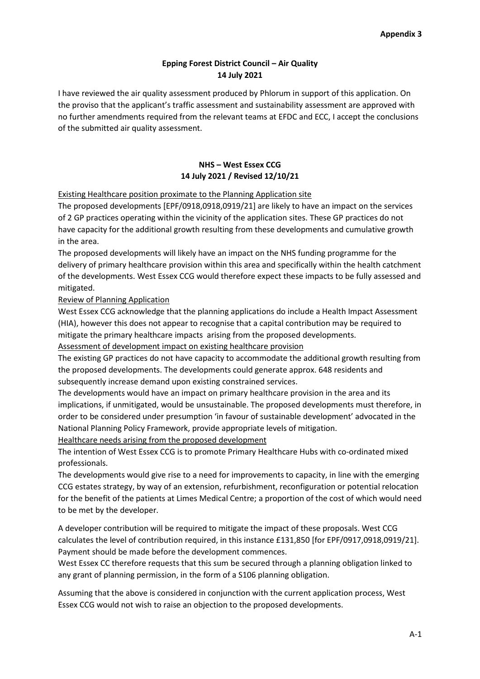## **Epping Forest District Council – Air Quality 14 July 2021**

I have reviewed the air quality assessment produced by Phlorum in support of this application. On the proviso that the applicant's traffic assessment and sustainability assessment are approved with no further amendments required from the relevant teams at EFDC and ECC, I accept the conclusions of the submitted air quality assessment.

## **NHS – West Essex CCG 14 July 2021 / Revised 12/10/21**

Existing Healthcare position proximate to the Planning Application site

The proposed developments [EPF/0918,0918,0919/21] are likely to have an impact on the services of 2 GP practices operating within the vicinity of the application sites. These GP practices do not have capacity for the additional growth resulting from these developments and cumulative growth in the area.

The proposed developments will likely have an impact on the NHS funding programme for the delivery of primary healthcare provision within this area and specifically within the health catchment of the developments. West Essex CCG would therefore expect these impacts to be fully assessed and mitigated.

Review of Planning Application

West Essex CCG acknowledge that the planning applications do include a Health Impact Assessment (HIA), however this does not appear to recognise that a capital contribution may be required to mitigate the primary healthcare impacts arising from the proposed developments.

Assessment of development impact on existing healthcare provision

The existing GP practices do not have capacity to accommodate the additional growth resulting from the proposed developments. The developments could generate approx. 648 residents and subsequently increase demand upon existing constrained services.

The developments would have an impact on primary healthcare provision in the area and its implications, if unmitigated, would be unsustainable. The proposed developments must therefore, in order to be considered under presumption 'in favour of sustainable development' advocated in the National Planning Policy Framework, provide appropriate levels of mitigation.

Healthcare needs arising from the proposed development

The intention of West Essex CCG is to promote Primary Healthcare Hubs with co-ordinated mixed professionals.

The developments would give rise to a need for improvements to capacity, in line with the emerging CCG estates strategy, by way of an extension, refurbishment, reconfiguration or potential relocation for the benefit of the patients at Limes Medical Centre; a proportion of the cost of which would need to be met by the developer.

A developer contribution will be required to mitigate the impact of these proposals. West CCG calculates the level of contribution required, in this instance £131,850 [for EPF/0917,0918,0919/21]. Payment should be made before the development commences.

West Essex CC therefore requests that this sum be secured through a planning obligation linked to any grant of planning permission, in the form of a S106 planning obligation.

Assuming that the above is considered in conjunction with the current application process, West Essex CCG would not wish to raise an objection to the proposed developments.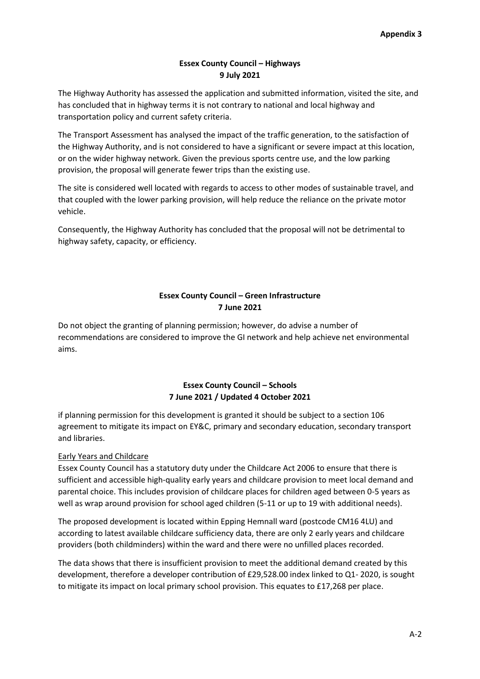## **Essex County Council – Highways 9 July 2021**

The Highway Authority has assessed the application and submitted information, visited the site, and has concluded that in highway terms it is not contrary to national and local highway and transportation policy and current safety criteria.

The Transport Assessment has analysed the impact of the traffic generation, to the satisfaction of the Highway Authority, and is not considered to have a significant or severe impact at this location, or on the wider highway network. Given the previous sports centre use, and the low parking provision, the proposal will generate fewer trips than the existing use.

The site is considered well located with regards to access to other modes of sustainable travel, and that coupled with the lower parking provision, will help reduce the reliance on the private motor vehicle.

Consequently, the Highway Authority has concluded that the proposal will not be detrimental to highway safety, capacity, or efficiency.

## **Essex County Council – Green Infrastructure 7 June 2021**

Do not object the granting of planning permission; however, do advise a number of recommendations are considered to improve the GI network and help achieve net environmental aims.

## **Essex County Council – Schools 7 June 2021 / Updated 4 October 2021**

if planning permission for this development is granted it should be subject to a section 106 agreement to mitigate its impact on EY&C, primary and secondary education, secondary transport and libraries.

# Early Years and Childcare

Essex County Council has a statutory duty under the Childcare Act 2006 to ensure that there is sufficient and accessible high-quality early years and childcare provision to meet local demand and parental choice. This includes provision of childcare places for children aged between 0-5 years as well as wrap around provision for school aged children (5-11 or up to 19 with additional needs).

The proposed development is located within Epping Hemnall ward (postcode CM16 4LU) and according to latest available childcare sufficiency data, there are only 2 early years and childcare providers (both childminders) within the ward and there were no unfilled places recorded.

The data shows that there is insufficient provision to meet the additional demand created by this development, therefore a developer contribution of £29,528.00 index linked to Q1- 2020, is sought to mitigate its impact on local primary school provision. This equates to £17,268 per place.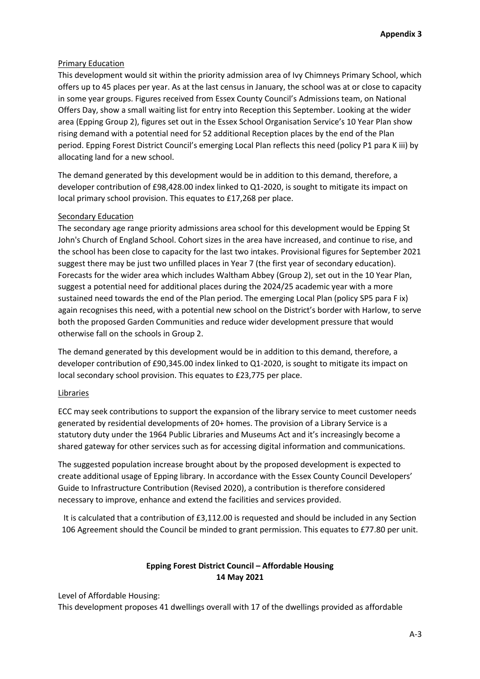### Primary Education

This development would sit within the priority admission area of Ivy Chimneys Primary School, which offers up to 45 places per year. As at the last census in January, the school was at or close to capacity in some year groups. Figures received from Essex County Council's Admissions team, on National Offers Day, show a small waiting list for entry into Reception this September. Looking at the wider area (Epping Group 2), figures set out in the Essex School Organisation Service's 10 Year Plan show rising demand with a potential need for 52 additional Reception places by the end of the Plan period. Epping Forest District Council's emerging Local Plan reflects this need (policy P1 para K iii) by allocating land for a new school.

The demand generated by this development would be in addition to this demand, therefore, a developer contribution of £98,428.00 index linked to Q1-2020, is sought to mitigate its impact on local primary school provision. This equates to £17,268 per place.

### Secondary Education

The secondary age range priority admissions area school for this development would be Epping St John's Church of England School. Cohort sizes in the area have increased, and continue to rise, and the school has been close to capacity for the last two intakes. Provisional figures for September 2021 suggest there may be just two unfilled places in Year 7 (the first year of secondary education). Forecasts for the wider area which includes Waltham Abbey (Group 2), set out in the 10 Year Plan, suggest a potential need for additional places during the 2024/25 academic year with a more sustained need towards the end of the Plan period. The emerging Local Plan (policy SP5 para F ix) again recognises this need, with a potential new school on the District's border with Harlow, to serve both the proposed Garden Communities and reduce wider development pressure that would otherwise fall on the schools in Group 2.

The demand generated by this development would be in addition to this demand, therefore, a developer contribution of £90,345.00 index linked to Q1-2020, is sought to mitigate its impact on local secondary school provision. This equates to £23,775 per place.

#### Libraries

ECC may seek contributions to support the expansion of the library service to meet customer needs generated by residential developments of 20+ homes. The provision of a Library Service is a statutory duty under the 1964 Public Libraries and Museums Act and it's increasingly become a shared gateway for other services such as for accessing digital information and communications.

The suggested population increase brought about by the proposed development is expected to create additional usage of Epping library. In accordance with the Essex County Council Developers' Guide to Infrastructure Contribution (Revised 2020), a contribution is therefore considered necessary to improve, enhance and extend the facilities and services provided.

It is calculated that a contribution of £3,112.00 is requested and should be included in any Section 106 Agreement should the Council be minded to grant permission. This equates to £77.80 per unit.

## **Epping Forest District Council – Affordable Housing 14 May 2021**

Level of Affordable Housing:

This development proposes 41 dwellings overall with 17 of the dwellings provided as affordable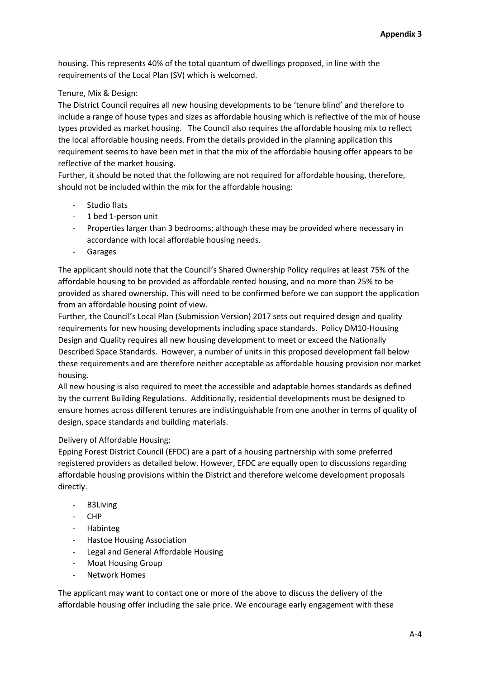housing. This represents 40% of the total quantum of dwellings proposed, in line with the requirements of the Local Plan (SV) which is welcomed.

## Tenure, Mix & Design:

The District Council requires all new housing developments to be 'tenure blind' and therefore to include a range of house types and sizes as affordable housing which is reflective of the mix of house types provided as market housing. The Council also requires the affordable housing mix to reflect the local affordable housing needs. From the details provided in the planning application this requirement seems to have been met in that the mix of the affordable housing offer appears to be reflective of the market housing.

Further, it should be noted that the following are not required for affordable housing, therefore, should not be included within the mix for the affordable housing:

- Studio flats
- 1 bed 1-person unit
- Properties larger than 3 bedrooms; although these may be provided where necessary in accordance with local affordable housing needs.
- Garages

The applicant should note that the Council's Shared Ownership Policy requires at least 75% of the affordable housing to be provided as affordable rented housing, and no more than 25% to be provided as shared ownership. This will need to be confirmed before we can support the application from an affordable housing point of view.

Further, the Council's Local Plan (Submission Version) 2017 sets out required design and quality requirements for new housing developments including space standards. Policy DM10-Housing Design and Quality requires all new housing development to meet or exceed the Nationally Described Space Standards. However, a number of units in this proposed development fall below these requirements and are therefore neither acceptable as affordable housing provision nor market housing.

All new housing is also required to meet the accessible and adaptable homes standards as defined by the current Building Regulations. Additionally, residential developments must be designed to ensure homes across different tenures are indistinguishable from one another in terms of quality of design, space standards and building materials.

## Delivery of Affordable Housing:

Epping Forest District Council (EFDC) are a part of a housing partnership with some preferred registered providers as detailed below. However, EFDC are equally open to discussions regarding affordable housing provisions within the District and therefore welcome development proposals directly.

- B3Living
- CHP
- Habinteg
- Hastoe Housing Association
- Legal and General Affordable Housing
- Moat Housing Group
- **Network Homes**

The applicant may want to contact one or more of the above to discuss the delivery of the affordable housing offer including the sale price. We encourage early engagement with these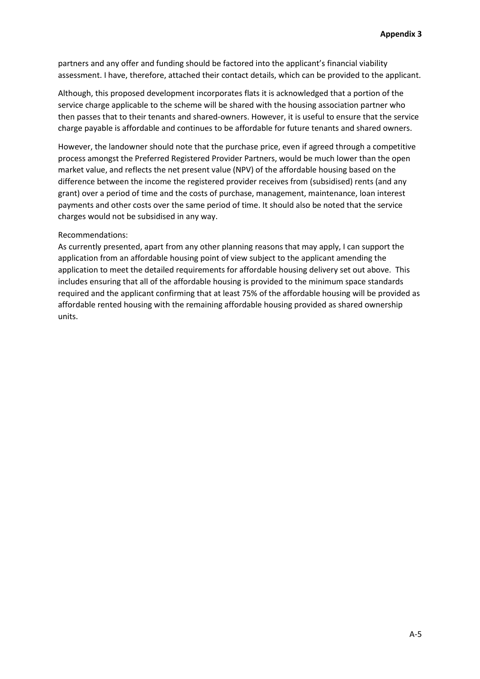partners and any offer and funding should be factored into the applicant's financial viability assessment. I have, therefore, attached their contact details, which can be provided to the applicant.

Although, this proposed development incorporates flats it is acknowledged that a portion of the service charge applicable to the scheme will be shared with the housing association partner who then passes that to their tenants and shared-owners. However, it is useful to ensure that the service charge payable is affordable and continues to be affordable for future tenants and shared owners.

However, the landowner should note that the purchase price, even if agreed through a competitive process amongst the Preferred Registered Provider Partners, would be much lower than the open market value, and reflects the net present value (NPV) of the affordable housing based on the difference between the income the registered provider receives from (subsidised) rents (and any grant) over a period of time and the costs of purchase, management, maintenance, loan interest payments and other costs over the same period of time. It should also be noted that the service charges would not be subsidised in any way.

#### Recommendations:

As currently presented, apart from any other planning reasons that may apply, I can support the application from an affordable housing point of view subject to the applicant amending the application to meet the detailed requirements for affordable housing delivery set out above. This includes ensuring that all of the affordable housing is provided to the minimum space standards required and the applicant confirming that at least 75% of the affordable housing will be provided as affordable rented housing with the remaining affordable housing provided as shared ownership units.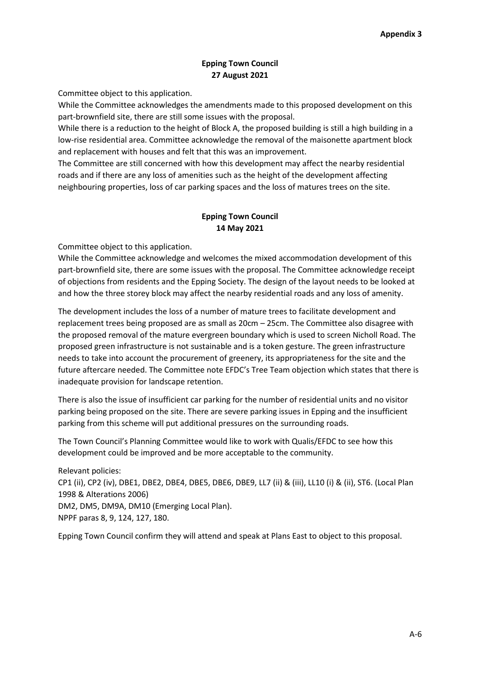## **Epping Town Council 27 August 2021**

Committee object to this application.

While the Committee acknowledges the amendments made to this proposed development on this part-brownfield site, there are still some issues with the proposal.

While there is a reduction to the height of Block A, the proposed building is still a high building in a low-rise residential area. Committee acknowledge the removal of the maisonette apartment block and replacement with houses and felt that this was an improvement.

The Committee are still concerned with how this development may affect the nearby residential roads and if there are any loss of amenities such as the height of the development affecting neighbouring properties, loss of car parking spaces and the loss of matures trees on the site.

## **Epping Town Council 14 May 2021**

Committee object to this application.

While the Committee acknowledge and welcomes the mixed accommodation development of this part-brownfield site, there are some issues with the proposal. The Committee acknowledge receipt of objections from residents and the Epping Society. The design of the layout needs to be looked at and how the three storey block may affect the nearby residential roads and any loss of amenity.

The development includes the loss of a number of mature trees to facilitate development and replacement trees being proposed are as small as 20cm – 25cm. The Committee also disagree with the proposed removal of the mature evergreen boundary which is used to screen Nicholl Road. The proposed green infrastructure is not sustainable and is a token gesture. The green infrastructure needs to take into account the procurement of greenery, its appropriateness for the site and the future aftercare needed. The Committee note EFDC's Tree Team objection which states that there is inadequate provision for landscape retention.

There is also the issue of insufficient car parking for the number of residential units and no visitor parking being proposed on the site. There are severe parking issues in Epping and the insufficient parking from this scheme will put additional pressures on the surrounding roads.

The Town Council's Planning Committee would like to work with Qualis/EFDC to see how this development could be improved and be more acceptable to the community.

Relevant policies: CP1 (ii), CP2 (iv), DBE1, DBE2, DBE4, DBE5, DBE6, DBE9, LL7 (ii) & (iii), LL10 (i) & (ii), ST6. (Local Plan 1998 & Alterations 2006) DM2, DM5, DM9A, DM10 (Emerging Local Plan). NPPF paras 8, 9, 124, 127, 180.

Epping Town Council confirm they will attend and speak at Plans East to object to this proposal.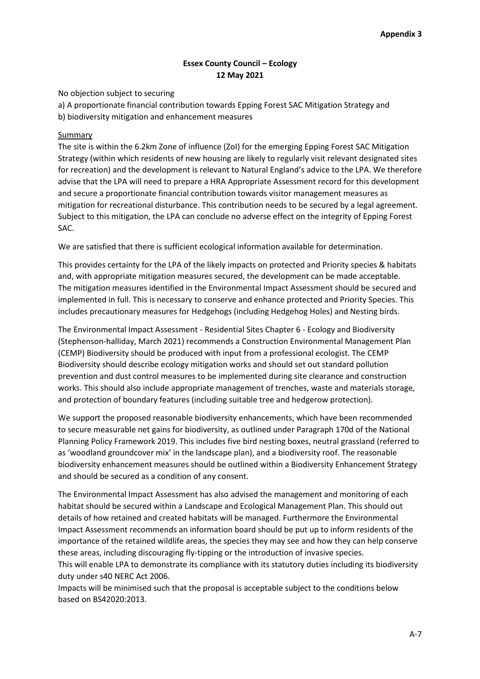### **Essex County Council – Ecology 12 May 2021**

No objection subject to securing

a) A proportionate financial contribution towards Epping Forest SAC Mitigation Strategy and

b) biodiversity mitigation and enhancement measures

#### Summary

The site is within the 6.2km Zone of influence (ZoI) for the emerging Epping Forest SAC Mitigation Strategy (within which residents of new housing are likely to regularly visit relevant designated sites for recreation) and the development is relevant to Natural England's advice to the LPA. We therefore advise that the LPA will need to prepare a HRA Appropriate Assessment record for this development and secure a proportionate financial contribution towards visitor management measures as mitigation for recreational disturbance. This contribution needs to be secured by a legal agreement. Subject to this mitigation, the LPA can conclude no adverse effect on the integrity of Epping Forest SAC.

We are satisfied that there is sufficient ecological information available for determination.

This provides certainty for the LPA of the likely impacts on protected and Priority species & habitats and, with appropriate mitigation measures secured, the development can be made acceptable. The mitigation measures identified in the Environmental Impact Assessment should be secured and implemented in full. This is necessary to conserve and enhance protected and Priority Species. This includes precautionary measures for Hedgehogs (including Hedgehog Holes) and Nesting birds.

The Environmental Impact Assessment - Residential Sites Chapter 6 - Ecology and Biodiversity (Stephenson-halliday, March 2021) recommends a Construction Environmental Management Plan (CEMP) Biodiversity should be produced with input from a professional ecologist. The CEMP Biodiversity should describe ecology mitigation works and should set out standard pollution prevention and dust control measures to be implemented during site clearance and construction works. This should also include appropriate management of trenches, waste and materials storage, and protection of boundary features (including suitable tree and hedgerow protection).

We support the proposed reasonable biodiversity enhancements, which have been recommended to secure measurable net gains for biodiversity, as outlined under Paragraph 170d of the National Planning Policy Framework 2019. This includes five bird nesting boxes, neutral grassland (referred to as 'woodland groundcover mix' in the landscape plan), and a biodiversity roof. The reasonable biodiversity enhancement measures should be outlined within a Biodiversity Enhancement Strategy and should be secured as a condition of any consent.

The Environmental Impact Assessment has also advised the management and monitoring of each habitat should be secured within a Landscape and Ecological Management Plan. This should out details of how retained and created habitats will be managed. Furthermore the Environmental Impact Assessment recommends an information board should be put up to inform residents of the importance of the retained wildlife areas, the species they may see and how they can help conserve these areas, including discouraging fly-tipping or the introduction of invasive species.

This will enable LPA to demonstrate its compliance with its statutory duties including its biodiversity duty under s40 NERC Act 2006.

Impacts will be minimised such that the proposal is acceptable subject to the conditions below based on BS42020:2013.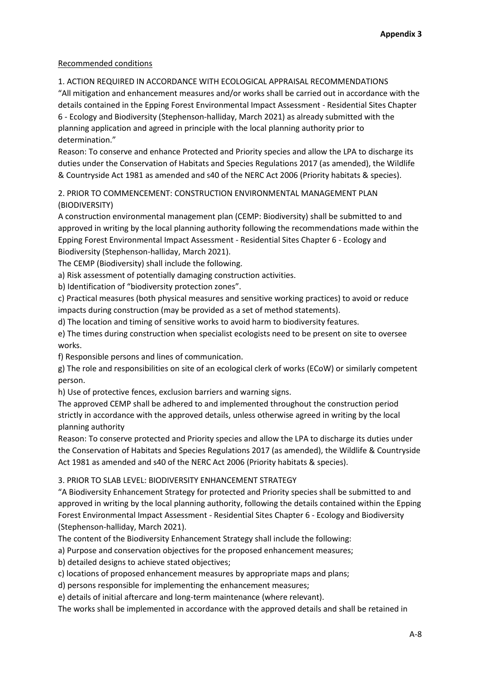## Recommended conditions

1. ACTION REQUIRED IN ACCORDANCE WITH ECOLOGICAL APPRAISAL RECOMMENDATIONS "All mitigation and enhancement measures and/or works shall be carried out in accordance with the details contained in the Epping Forest Environmental Impact Assessment - Residential Sites Chapter 6 - Ecology and Biodiversity (Stephenson-halliday, March 2021) as already submitted with the

planning application and agreed in principle with the local planning authority prior to determination."

Reason: To conserve and enhance Protected and Priority species and allow the LPA to discharge its duties under the Conservation of Habitats and Species Regulations 2017 (as amended), the Wildlife & Countryside Act 1981 as amended and s40 of the NERC Act 2006 (Priority habitats & species).

2. PRIOR TO COMMENCEMENT: CONSTRUCTION ENVIRONMENTAL MANAGEMENT PLAN (BIODIVERSITY)

A construction environmental management plan (CEMP: Biodiversity) shall be submitted to and approved in writing by the local planning authority following the recommendations made within the Epping Forest Environmental Impact Assessment - Residential Sites Chapter 6 - Ecology and Biodiversity (Stephenson-halliday, March 2021).

The CEMP (Biodiversity) shall include the following.

a) Risk assessment of potentially damaging construction activities.

b) Identification of "biodiversity protection zones".

c) Practical measures (both physical measures and sensitive working practices) to avoid or reduce impacts during construction (may be provided as a set of method statements).

d) The location and timing of sensitive works to avoid harm to biodiversity features.

e) The times during construction when specialist ecologists need to be present on site to oversee works.

f) Responsible persons and lines of communication.

g) The role and responsibilities on site of an ecological clerk of works (ECoW) or similarly competent person.

h) Use of protective fences, exclusion barriers and warning signs.

The approved CEMP shall be adhered to and implemented throughout the construction period strictly in accordance with the approved details, unless otherwise agreed in writing by the local planning authority

Reason: To conserve protected and Priority species and allow the LPA to discharge its duties under the Conservation of Habitats and Species Regulations 2017 (as amended), the Wildlife & Countryside Act 1981 as amended and s40 of the NERC Act 2006 (Priority habitats & species).

3. PRIOR TO SLAB LEVEL: BIODIVERSITY ENHANCEMENT STRATEGY

"A Biodiversity Enhancement Strategy for protected and Priority species shall be submitted to and approved in writing by the local planning authority, following the details contained within the Epping Forest Environmental Impact Assessment - Residential Sites Chapter 6 - Ecology and Biodiversity (Stephenson-halliday, March 2021).

The content of the Biodiversity Enhancement Strategy shall include the following:

a) Purpose and conservation objectives for the proposed enhancement measures;

b) detailed designs to achieve stated objectives;

c) locations of proposed enhancement measures by appropriate maps and plans;

d) persons responsible for implementing the enhancement measures;

e) details of initial aftercare and long-term maintenance (where relevant).

The works shall be implemented in accordance with the approved details and shall be retained in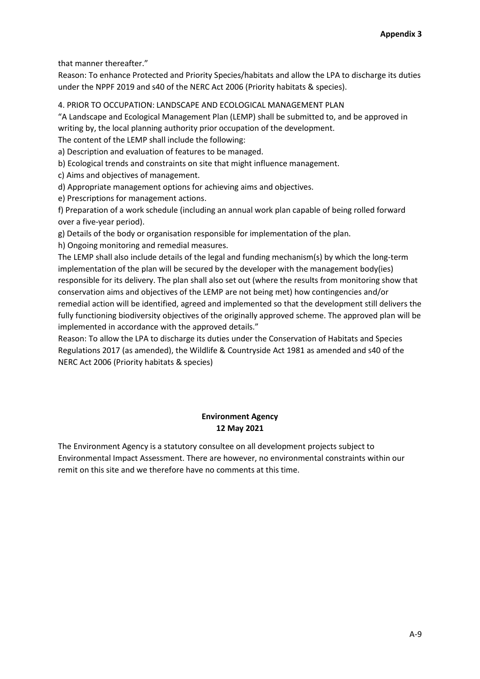that manner thereafter."

Reason: To enhance Protected and Priority Species/habitats and allow the LPA to discharge its duties under the NPPF 2019 and s40 of the NERC Act 2006 (Priority habitats & species).

4. PRIOR TO OCCUPATION: LANDSCAPE AND ECOLOGICAL MANAGEMENT PLAN

"A Landscape and Ecological Management Plan (LEMP) shall be submitted to, and be approved in writing by, the local planning authority prior occupation of the development.

The content of the LEMP shall include the following:

a) Description and evaluation of features to be managed.

b) Ecological trends and constraints on site that might influence management.

c) Aims and objectives of management.

d) Appropriate management options for achieving aims and objectives.

e) Prescriptions for management actions.

f) Preparation of a work schedule (including an annual work plan capable of being rolled forward over a five-year period).

g) Details of the body or organisation responsible for implementation of the plan.

h) Ongoing monitoring and remedial measures.

The LEMP shall also include details of the legal and funding mechanism(s) by which the long-term implementation of the plan will be secured by the developer with the management body(ies) responsible for its delivery. The plan shall also set out (where the results from monitoring show that conservation aims and objectives of the LEMP are not being met) how contingencies and/or remedial action will be identified, agreed and implemented so that the development still delivers the fully functioning biodiversity objectives of the originally approved scheme. The approved plan will be implemented in accordance with the approved details."

Reason: To allow the LPA to discharge its duties under the Conservation of Habitats and Species Regulations 2017 (as amended), the Wildlife & Countryside Act 1981 as amended and s40 of the NERC Act 2006 (Priority habitats & species)

# **Environment Agency 12 May 2021**

The Environment Agency is a statutory consultee on all development projects subject to Environmental Impact Assessment. There are however, no environmental constraints within our remit on this site and we therefore have no comments at this time.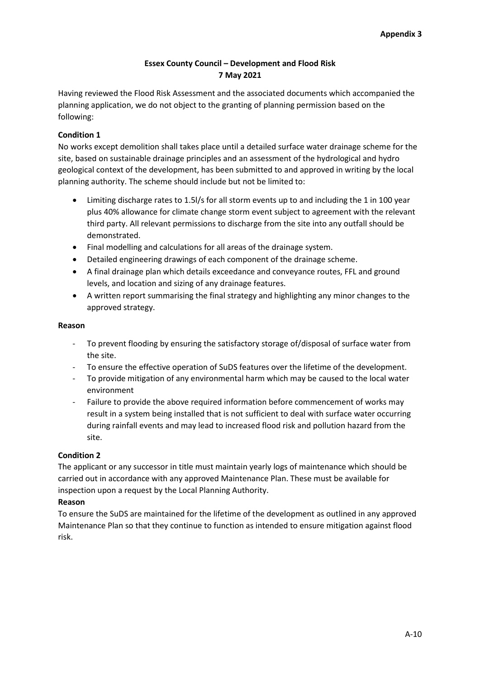## **Essex County Council – Development and Flood Risk 7 May 2021**

Having reviewed the Flood Risk Assessment and the associated documents which accompanied the planning application, we do not object to the granting of planning permission based on the following:

## **Condition 1**

No works except demolition shall takes place until a detailed surface water drainage scheme for the site, based on sustainable drainage principles and an assessment of the hydrological and hydro geological context of the development, has been submitted to and approved in writing by the local planning authority. The scheme should include but not be limited to:

- Limiting discharge rates to 1.5l/s for all storm events up to and including the 1 in 100 year plus 40% allowance for climate change storm event subject to agreement with the relevant third party. All relevant permissions to discharge from the site into any outfall should be demonstrated.
- Final modelling and calculations for all areas of the drainage system.
- Detailed engineering drawings of each component of the drainage scheme.
- A final drainage plan which details exceedance and conveyance routes, FFL and ground levels, and location and sizing of any drainage features.
- A written report summarising the final strategy and highlighting any minor changes to the approved strategy.

### **Reason**

- To prevent flooding by ensuring the satisfactory storage of/disposal of surface water from the site.
- To ensure the effective operation of SuDS features over the lifetime of the development.
- To provide mitigation of any environmental harm which may be caused to the local water environment
- Failure to provide the above required information before commencement of works may result in a system being installed that is not sufficient to deal with surface water occurring during rainfall events and may lead to increased flood risk and pollution hazard from the site.

## **Condition 2**

The applicant or any successor in title must maintain yearly logs of maintenance which should be carried out in accordance with any approved Maintenance Plan. These must be available for inspection upon a request by the Local Planning Authority.

## **Reason**

To ensure the SuDS are maintained for the lifetime of the development as outlined in any approved Maintenance Plan so that they continue to function as intended to ensure mitigation against flood risk.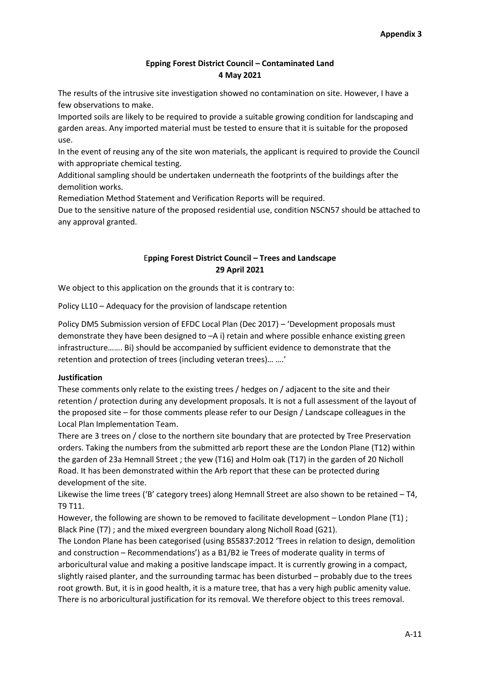## **Epping Forest District Council – Contaminated Land 4 May 2021**

The results of the intrusive site investigation showed no contamination on site. However, I have a few observations to make.

Imported soils are likely to be required to provide a suitable growing condition for landscaping and garden areas. Any imported material must be tested to ensure that it is suitable for the proposed use.

In the event of reusing any of the site won materials, the applicant is required to provide the Council with appropriate chemical testing.

Additional sampling should be undertaken underneath the footprints of the buildings after the demolition works.

Remediation Method Statement and Verification Reports will be required.

Due to the sensitive nature of the proposed residential use, condition NSCN57 should be attached to any approval granted.

## E**pping Forest District Council – Trees and Landscape 29 April 2021**

We object to this application on the grounds that it is contrary to:

Policy LL10 – Adequacy for the provision of landscape retention

Policy DM5 Submission version of EFDC Local Plan (Dec 2017) – 'Development proposals must demonstrate they have been designed to –A i) retain and where possible enhance existing green infrastructure……. Bi) should be accompanied by sufficient evidence to demonstrate that the retention and protection of trees (including veteran trees)… ….'

## **Justification**

These comments only relate to the existing trees / hedges on / adjacent to the site and their retention / protection during any development proposals. It is not a full assessment of the layout of the proposed site – for those comments please refer to our Design / Landscape colleagues in the Local Plan Implementation Team.

There are 3 trees on / close to the northern site boundary that are protected by Tree Preservation orders. Taking the numbers from the submitted arb report these are the London Plane (T12) within the garden of 23a Hemnall Street ; the yew (T16) and Holm oak (T17) in the garden of 20 Nicholl Road. It has been demonstrated within the Arb report that these can be protected during development of the site.

Likewise the lime trees ('B' category trees) along Hemnall Street are also shown to be retained – T4, T9 T11.

However, the following are shown to be removed to facilitate development – London Plane (T1) ; Black Pine (T7) ; and the mixed evergreen boundary along Nicholl Road (G21).

The London Plane has been categorised (using BS5837:2012 'Trees in relation to design, demolition and construction – Recommendations') as a B1/B2 ie Trees of moderate quality in terms of arboricultural value and making a positive landscape impact. It is currently growing in a compact, slightly raised planter, and the surrounding tarmac has been disturbed – probably due to the trees root growth. But, it is in good health, it is a mature tree, that has a very high public amenity value. There is no arboricultural justification for its removal. We therefore object to this trees removal.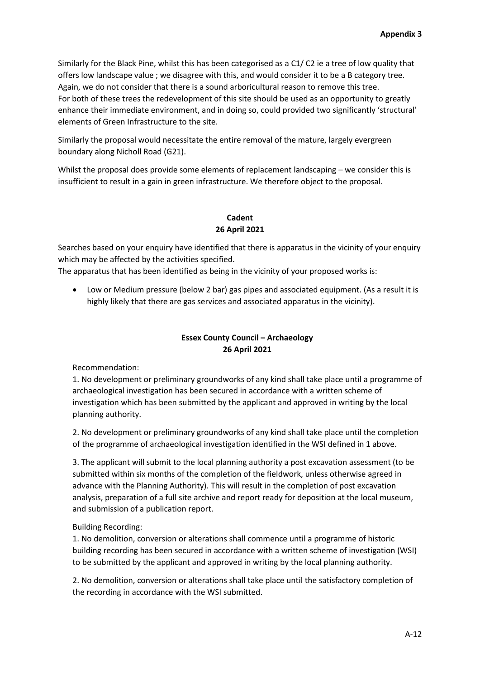Similarly for the Black Pine, whilst this has been categorised as a C1/ C2 ie a tree of low quality that offers low landscape value ; we disagree with this, and would consider it to be a B category tree. Again, we do not consider that there is a sound arboricultural reason to remove this tree. For both of these trees the redevelopment of this site should be used as an opportunity to greatly enhance their immediate environment, and in doing so, could provided two significantly 'structural' elements of Green Infrastructure to the site.

Similarly the proposal would necessitate the entire removal of the mature, largely evergreen boundary along Nicholl Road (G21).

Whilst the proposal does provide some elements of replacement landscaping – we consider this is insufficient to result in a gain in green infrastructure. We therefore object to the proposal.

# **Cadent 26 April 2021**

Searches based on your enquiry have identified that there is apparatus in the vicinity of your enquiry which may be affected by the activities specified.

The apparatus that has been identified as being in the vicinity of your proposed works is:

 Low or Medium pressure (below 2 bar) gas pipes and associated equipment. (As a result it is highly likely that there are gas services and associated apparatus in the vicinity).

# **Essex County Council – Archaeology 26 April 2021**

Recommendation:

1. No development or preliminary groundworks of any kind shall take place until a programme of archaeological investigation has been secured in accordance with a written scheme of investigation which has been submitted by the applicant and approved in writing by the local planning authority.

2. No development or preliminary groundworks of any kind shall take place until the completion of the programme of archaeological investigation identified in the WSI defined in 1 above.

3. The applicant will submit to the local planning authority a post excavation assessment (to be submitted within six months of the completion of the fieldwork, unless otherwise agreed in advance with the Planning Authority). This will result in the completion of post excavation analysis, preparation of a full site archive and report ready for deposition at the local museum, and submission of a publication report.

## Building Recording:

1. No demolition, conversion or alterations shall commence until a programme of historic building recording has been secured in accordance with a written scheme of investigation (WSI) to be submitted by the applicant and approved in writing by the local planning authority.

2. No demolition, conversion or alterations shall take place until the satisfactory completion of the recording in accordance with the WSI submitted.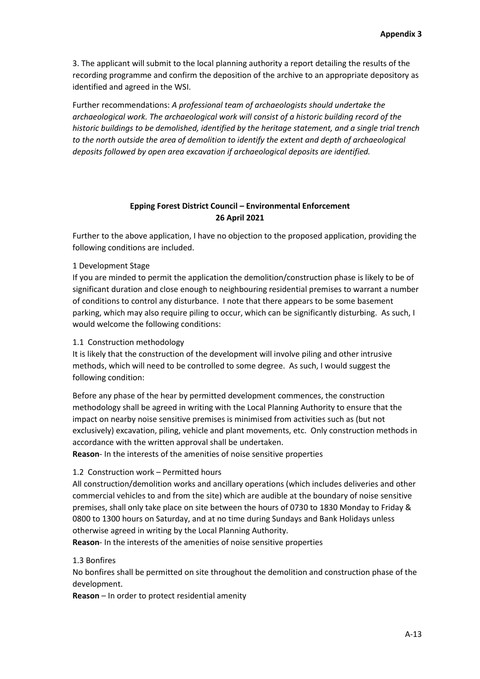3. The applicant will submit to the local planning authority a report detailing the results of the recording programme and confirm the deposition of the archive to an appropriate depository as identified and agreed in the WSI.

Further recommendations: *A professional team of archaeologists should undertake the archaeological work. The archaeological work will consist of a historic building record of the historic buildings to be demolished, identified by the heritage statement, and a single trial trench to the north outside the area of demolition to identify the extent and depth of archaeological deposits followed by open area excavation if archaeological deposits are identified.*

### **Epping Forest District Council – Environmental Enforcement 26 April 2021**

Further to the above application, I have no objection to the proposed application, providing the following conditions are included.

#### 1 Development Stage

If you are minded to permit the application the demolition/construction phase is likely to be of significant duration and close enough to neighbouring residential premises to warrant a number of conditions to control any disturbance. I note that there appears to be some basement parking, which may also require piling to occur, which can be significantly disturbing. As such, I would welcome the following conditions:

#### 1.1 Construction methodology

It is likely that the construction of the development will involve piling and other intrusive methods, which will need to be controlled to some degree. As such, I would suggest the following condition:

Before any phase of the hear by permitted development commences, the construction methodology shall be agreed in writing with the Local Planning Authority to ensure that the impact on nearby noise sensitive premises is minimised from activities such as (but not exclusively) excavation, piling, vehicle and plant movements, etc. Only construction methods in accordance with the written approval shall be undertaken.

**Reason**- In the interests of the amenities of noise sensitive properties

#### 1.2 Construction work – Permitted hours

All construction/demolition works and ancillary operations (which includes deliveries and other commercial vehicles to and from the site) which are audible at the boundary of noise sensitive premises, shall only take place on site between the hours of 0730 to 1830 Monday to Friday & 0800 to 1300 hours on Saturday, and at no time during Sundays and Bank Holidays unless otherwise agreed in writing by the Local Planning Authority.

**Reason**- In the interests of the amenities of noise sensitive properties

#### 1.3 Bonfires

No bonfires shall be permitted on site throughout the demolition and construction phase of the development.

**Reason** – In order to protect residential amenity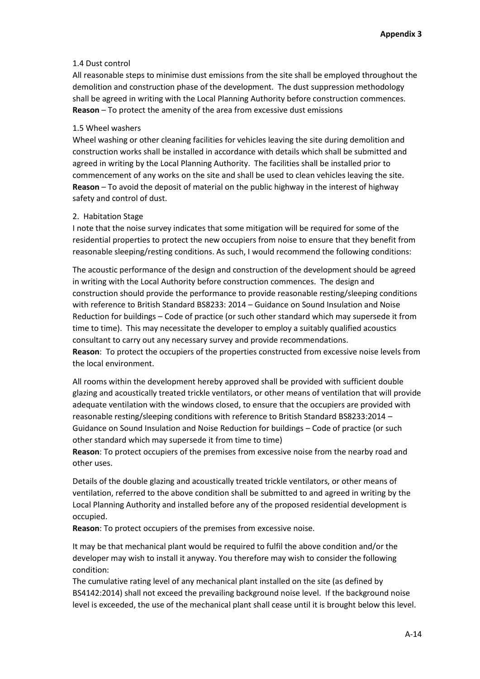#### 1.4 Dust control

All reasonable steps to minimise dust emissions from the site shall be employed throughout the demolition and construction phase of the development. The dust suppression methodology shall be agreed in writing with the Local Planning Authority before construction commences. **Reason** – To protect the amenity of the area from excessive dust emissions

#### 1.5 Wheel washers

Wheel washing or other cleaning facilities for vehicles leaving the site during demolition and construction works shall be installed in accordance with details which shall be submitted and agreed in writing by the Local Planning Authority. The facilities shall be installed prior to commencement of any works on the site and shall be used to clean vehicles leaving the site. **Reason** – To avoid the deposit of material on the public highway in the interest of highway safety and control of dust.

### 2. Habitation Stage

I note that the noise survey indicates that some mitigation will be required for some of the residential properties to protect the new occupiers from noise to ensure that they benefit from reasonable sleeping/resting conditions. As such, I would recommend the following conditions:

The acoustic performance of the design and construction of the development should be agreed in writing with the Local Authority before construction commences. The design and construction should provide the performance to provide reasonable resting/sleeping conditions with reference to British Standard BS8233: 2014 – Guidance on Sound Insulation and Noise Reduction for buildings – Code of practice (or such other standard which may supersede it from time to time). This may necessitate the developer to employ a suitably qualified acoustics consultant to carry out any necessary survey and provide recommendations.

**Reason**: To protect the occupiers of the properties constructed from excessive noise levels from the local environment.

All rooms within the development hereby approved shall be provided with sufficient double glazing and acoustically treated trickle ventilators, or other means of ventilation that will provide adequate ventilation with the windows closed, to ensure that the occupiers are provided with reasonable resting/sleeping conditions with reference to British Standard BS8233:2014 – Guidance on Sound Insulation and Noise Reduction for buildings – Code of practice (or such other standard which may supersede it from time to time)

**Reason**: To protect occupiers of the premises from excessive noise from the nearby road and other uses.

Details of the double glazing and acoustically treated trickle ventilators, or other means of ventilation, referred to the above condition shall be submitted to and agreed in writing by the Local Planning Authority and installed before any of the proposed residential development is occupied.

**Reason**: To protect occupiers of the premises from excessive noise.

It may be that mechanical plant would be required to fulfil the above condition and/or the developer may wish to install it anyway. You therefore may wish to consider the following condition:

The cumulative rating level of any mechanical plant installed on the site (as defined by BS4142:2014) shall not exceed the prevailing background noise level. If the background noise level is exceeded, the use of the mechanical plant shall cease until it is brought below this level.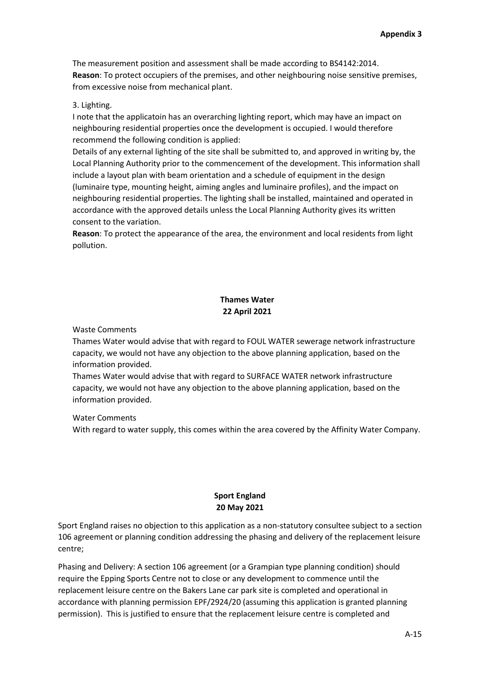The measurement position and assessment shall be made according to BS4142:2014. **Reason**: To protect occupiers of the premises, and other neighbouring noise sensitive premises, from excessive noise from mechanical plant.

#### 3. Lighting.

I note that the applicatoin has an overarching lighting report, which may have an impact on neighbouring residential properties once the development is occupied. I would therefore recommend the following condition is applied:

Details of any external lighting of the site shall be submitted to, and approved in writing by, the Local Planning Authority prior to the commencement of the development. This information shall include a layout plan with beam orientation and a schedule of equipment in the design (luminaire type, mounting height, aiming angles and luminaire profiles), and the impact on neighbouring residential properties. The lighting shall be installed, maintained and operated in accordance with the approved details unless the Local Planning Authority gives its written consent to the variation.

**Reason**: To protect the appearance of the area, the environment and local residents from light pollution.

# **Thames Water 22 April 2021**

Waste Comments

Thames Water would advise that with regard to FOUL WATER sewerage network infrastructure capacity, we would not have any objection to the above planning application, based on the information provided.

Thames Water would advise that with regard to SURFACE WATER network infrastructure capacity, we would not have any objection to the above planning application, based on the information provided.

Water Comments

With regard to water supply, this comes within the area covered by the Affinity Water Company.

## **Sport England 20 May 2021**

Sport England raises no objection to this application as a non-statutory consultee subject to a section 106 agreement or planning condition addressing the phasing and delivery of the replacement leisure centre;

Phasing and Delivery: A section 106 agreement (or a Grampian type planning condition) should require the Epping Sports Centre not to close or any development to commence until the replacement leisure centre on the Bakers Lane car park site is completed and operational in accordance with planning permission EPF/2924/20 (assuming this application is granted planning permission). This is justified to ensure that the replacement leisure centre is completed and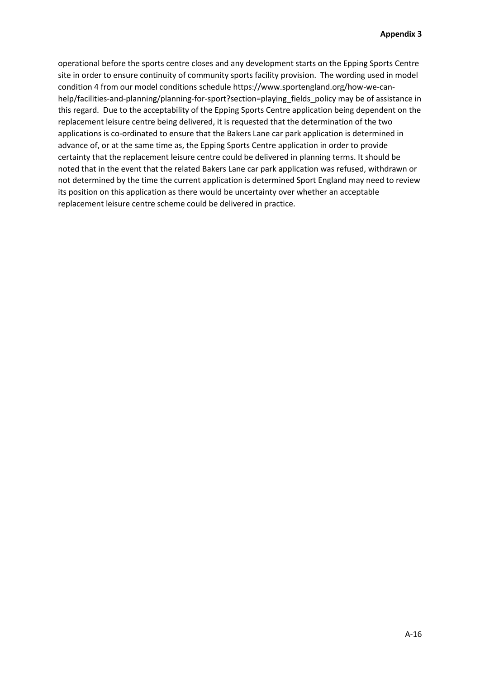operational before the sports centre closes and any development starts on the Epping Sports Centre site in order to ensure continuity of community sports facility provision. The wording used in model condition 4 from our model conditions schedule https://www.sportengland.org/how-we-canhelp/facilities-and-planning/planning-for-sport?section=playing\_fields\_policy may be of assistance in this regard. Due to the acceptability of the Epping Sports Centre application being dependent on the replacement leisure centre being delivered, it is requested that the determination of the two applications is co-ordinated to ensure that the Bakers Lane car park application is determined in advance of, or at the same time as, the Epping Sports Centre application in order to provide certainty that the replacement leisure centre could be delivered in planning terms. It should be noted that in the event that the related Bakers Lane car park application was refused, withdrawn or not determined by the time the current application is determined Sport England may need to review its position on this application as there would be uncertainty over whether an acceptable replacement leisure centre scheme could be delivered in practice.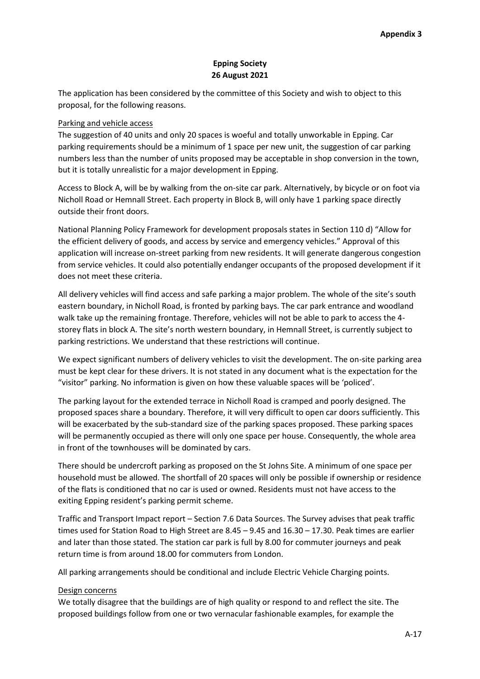## **Epping Society 26 August 2021**

The application has been considered by the committee of this Society and wish to object to this proposal, for the following reasons.

### Parking and vehicle access

The suggestion of 40 units and only 20 spaces is woeful and totally unworkable in Epping. Car parking requirements should be a minimum of 1 space per new unit, the suggestion of car parking numbers less than the number of units proposed may be acceptable in shop conversion in the town, but it is totally unrealistic for a major development in Epping.

Access to Block A, will be by walking from the on-site car park. Alternatively, by bicycle or on foot via Nicholl Road or Hemnall Street. Each property in Block B, will only have 1 parking space directly outside their front doors.

National Planning Policy Framework for development proposals states in Section 110 d) "Allow for the efficient delivery of goods, and access by service and emergency vehicles." Approval of this application will increase on-street parking from new residents. It will generate dangerous congestion from service vehicles. It could also potentially endanger occupants of the proposed development if it does not meet these criteria.

All delivery vehicles will find access and safe parking a major problem. The whole of the site's south eastern boundary, in Nicholl Road, is fronted by parking bays. The car park entrance and woodland walk take up the remaining frontage. Therefore, vehicles will not be able to park to access the 4 storey flats in block A. The site's north western boundary, in Hemnall Street, is currently subject to parking restrictions. We understand that these restrictions will continue.

We expect significant numbers of delivery vehicles to visit the development. The on-site parking area must be kept clear for these drivers. It is not stated in any document what is the expectation for the "visitor" parking. No information is given on how these valuable spaces will be 'policed'.

The parking layout for the extended terrace in Nicholl Road is cramped and poorly designed. The proposed spaces share a boundary. Therefore, it will very difficult to open car doors sufficiently. This will be exacerbated by the sub-standard size of the parking spaces proposed. These parking spaces will be permanently occupied as there will only one space per house. Consequently, the whole area in front of the townhouses will be dominated by cars.

There should be undercroft parking as proposed on the St Johns Site. A minimum of one space per household must be allowed. The shortfall of 20 spaces will only be possible if ownership or residence of the flats is conditioned that no car is used or owned. Residents must not have access to the exiting Epping resident's parking permit scheme.

Traffic and Transport Impact report – Section 7.6 Data Sources. The Survey advises that peak traffic times used for Station Road to High Street are 8.45 – 9.45 and 16.30 – 17.30. Peak times are earlier and later than those stated. The station car park is full by 8.00 for commuter journeys and peak return time is from around 18.00 for commuters from London.

All parking arrangements should be conditional and include Electric Vehicle Charging points.

#### Design concerns

We totally disagree that the buildings are of high quality or respond to and reflect the site. The proposed buildings follow from one or two vernacular fashionable examples, for example the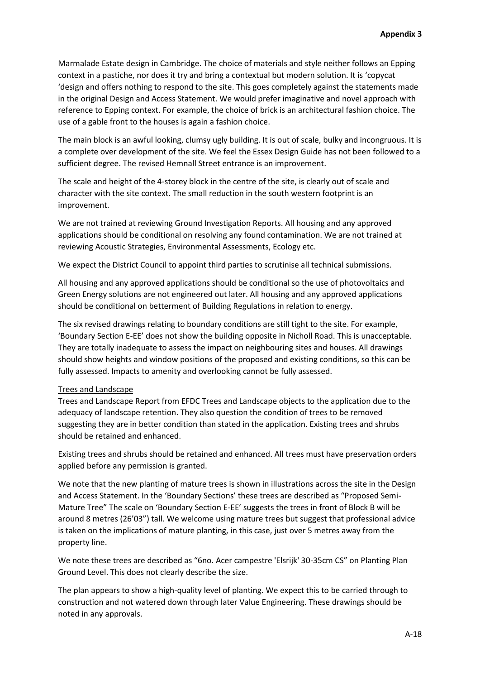Marmalade Estate design in Cambridge. The choice of materials and style neither follows an Epping context in a pastiche, nor does it try and bring a contextual but modern solution. It is 'copycat 'design and offers nothing to respond to the site. This goes completely against the statements made in the original Design and Access Statement. We would prefer imaginative and novel approach with reference to Epping context. For example, the choice of brick is an architectural fashion choice. The use of a gable front to the houses is again a fashion choice.

The main block is an awful looking, clumsy ugly building. It is out of scale, bulky and incongruous. It is a complete over development of the site. We feel the Essex Design Guide has not been followed to a sufficient degree. The revised Hemnall Street entrance is an improvement.

The scale and height of the 4-storey block in the centre of the site, is clearly out of scale and character with the site context. The small reduction in the south western footprint is an improvement.

We are not trained at reviewing Ground Investigation Reports. All housing and any approved applications should be conditional on resolving any found contamination. We are not trained at reviewing Acoustic Strategies, Environmental Assessments, Ecology etc.

We expect the District Council to appoint third parties to scrutinise all technical submissions.

All housing and any approved applications should be conditional so the use of photovoltaics and Green Energy solutions are not engineered out later. All housing and any approved applications should be conditional on betterment of Building Regulations in relation to energy.

The six revised drawings relating to boundary conditions are still tight to the site. For example, 'Boundary Section E-EE' does not show the building opposite in Nicholl Road. This is unacceptable. They are totally inadequate to assess the impact on neighbouring sites and houses. All drawings should show heights and window positions of the proposed and existing conditions, so this can be fully assessed. Impacts to amenity and overlooking cannot be fully assessed.

#### Trees and Landscape

Trees and Landscape Report from EFDC Trees and Landscape objects to the application due to the adequacy of landscape retention. They also question the condition of trees to be removed suggesting they are in better condition than stated in the application. Existing trees and shrubs should be retained and enhanced.

Existing trees and shrubs should be retained and enhanced. All trees must have preservation orders applied before any permission is granted.

We note that the new planting of mature trees is shown in illustrations across the site in the Design and Access Statement. In the 'Boundary Sections' these trees are described as "Proposed Semi-Mature Tree" The scale on 'Boundary Section E-EE' suggests the trees in front of Block B will be around 8 metres (26'03") tall. We welcome using mature trees but suggest that professional advice is taken on the implications of mature planting, in this case, just over 5 metres away from the property line.

We note these trees are described as "6no. Acer campestre 'Elsrijk' 30-35cm CS" on Planting Plan Ground Level. This does not clearly describe the size.

The plan appears to show a high-quality level of planting. We expect this to be carried through to construction and not watered down through later Value Engineering. These drawings should be noted in any approvals.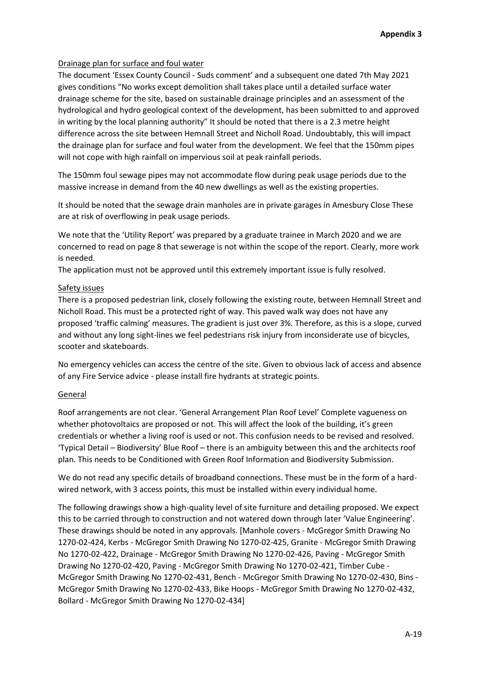## Drainage plan for surface and foul water

The document 'Essex County Council - Suds comment' and a subsequent one dated 7th May 2021 gives conditions "No works except demolition shall takes place until a detailed surface water drainage scheme for the site, based on sustainable drainage principles and an assessment of the hydrological and hydro geological context of the development, has been submitted to and approved in writing by the local planning authority" It should be noted that there is a 2.3 metre height difference across the site between Hemnall Street and Nicholl Road. Undoubtably, this will impact the drainage plan for surface and foul water from the development. We feel that the 150mm pipes will not cope with high rainfall on impervious soil at peak rainfall periods.

The 150mm foul sewage pipes may not accommodate flow during peak usage periods due to the massive increase in demand from the 40 new dwellings as well as the existing properties.

It should be noted that the sewage drain manholes are in private garages in Amesbury Close These are at risk of overflowing in peak usage periods.

We note that the 'Utility Report' was prepared by a graduate trainee in March 2020 and we are concerned to read on page 8 that sewerage is not within the scope of the report. Clearly, more work is needed.

The application must not be approved until this extremely important issue is fully resolved.

### Safety issues

There is a proposed pedestrian link, closely following the existing route, between Hemnall Street and Nicholl Road. This must be a protected right of way. This paved walk way does not have any proposed 'traffic calming' measures. The gradient is just over 3%. Therefore, as this is a slope, curved and without any long sight-lines we feel pedestrians risk injury from inconsiderate use of bicycles, scooter and skateboards.

No emergency vehicles can access the centre of the site. Given to obvious lack of access and absence of any Fire Service advice - please install fire hydrants at strategic points.

#### General

Roof arrangements are not clear. 'General Arrangement Plan Roof Level' Complete vagueness on whether photovoltaics are proposed or not. This will affect the look of the building, it's green credentials or whether a living roof is used or not. This confusion needs to be revised and resolved. 'Typical Detail – Biodiversity' Blue Roof – there is an ambiguity between this and the architects roof plan. This needs to be Conditioned with Green Roof Information and Biodiversity Submission.

We do not read any specific details of broadband connections. These must be in the form of a hardwired network, with 3 access points, this must be installed within every individual home.

The following drawings show a high-quality level of site furniture and detailing proposed. We expect this to be carried through to construction and not watered down through later 'Value Engineering'. These drawings should be noted in any approvals. [Manhole covers - McGregor Smith Drawing No 1270-02-424, Kerbs - McGregor Smith Drawing No 1270-02-425, Granite - McGregor Smith Drawing No 1270-02-422, Drainage - McGregor Smith Drawing No 1270-02-426, Paving - McGregor Smith Drawing No 1270-02-420, Paving - McGregor Smith Drawing No 1270-02-421, Timber Cube - McGregor Smith Drawing No 1270-02-431, Bench - McGregor Smith Drawing No 1270-02-430, Bins - McGregor Smith Drawing No 1270-02-433, Bike Hoops - McGregor Smith Drawing No 1270-02-432, Bollard - McGregor Smith Drawing No 1270-02-434]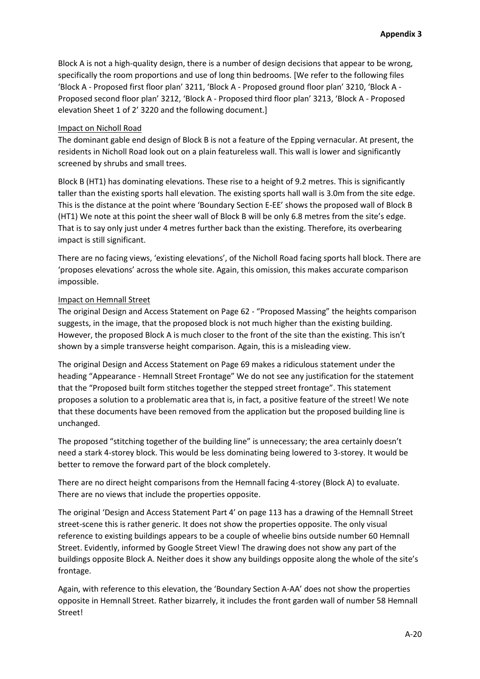Block A is not a high-quality design, there is a number of design decisions that appear to be wrong, specifically the room proportions and use of long thin bedrooms. [We refer to the following files 'Block A - Proposed first floor plan' 3211, 'Block A - Proposed ground floor plan' 3210, 'Block A - Proposed second floor plan' 3212, 'Block A - Proposed third floor plan' 3213, 'Block A - Proposed elevation Sheet 1 of 2' 3220 and the following document.]

#### Impact on Nicholl Road

The dominant gable end design of Block B is not a feature of the Epping vernacular. At present, the residents in Nicholl Road look out on a plain featureless wall. This wall is lower and significantly screened by shrubs and small trees.

Block B (HT1) has dominating elevations. These rise to a height of 9.2 metres. This is significantly taller than the existing sports hall elevation. The existing sports hall wall is 3.0m from the site edge. This is the distance at the point where 'Boundary Section E-EE' shows the proposed wall of Block B (HT1) We note at this point the sheer wall of Block B will be only 6.8 metres from the site's edge. That is to say only just under 4 metres further back than the existing. Therefore, its overbearing impact is still significant.

There are no facing views, 'existing elevations', of the Nicholl Road facing sports hall block. There are 'proposes elevations' across the whole site. Again, this omission, this makes accurate comparison impossible.

## Impact on Hemnall Street

The original Design and Access Statement on Page 62 - "Proposed Massing" the heights comparison suggests, in the image, that the proposed block is not much higher than the existing building. However, the proposed Block A is much closer to the front of the site than the existing. This isn't shown by a simple transverse height comparison. Again, this is a misleading view.

The original Design and Access Statement on Page 69 makes a ridiculous statement under the heading "Appearance - Hemnall Street Frontage" We do not see any justification for the statement that the "Proposed built form stitches together the stepped street frontage". This statement proposes a solution to a problematic area that is, in fact, a positive feature of the street! We note that these documents have been removed from the application but the proposed building line is unchanged.

The proposed "stitching together of the building line" is unnecessary; the area certainly doesn't need a stark 4-storey block. This would be less dominating being lowered to 3-storey. It would be better to remove the forward part of the block completely.

There are no direct height comparisons from the Hemnall facing 4-storey (Block A) to evaluate. There are no views that include the properties opposite.

The original 'Design and Access Statement Part 4' on page 113 has a drawing of the Hemnall Street street-scene this is rather generic. It does not show the properties opposite. The only visual reference to existing buildings appears to be a couple of wheelie bins outside number 60 Hemnall Street. Evidently, informed by Google Street View! The drawing does not show any part of the buildings opposite Block A. Neither does it show any buildings opposite along the whole of the site's frontage.

Again, with reference to this elevation, the 'Boundary Section A-AA' does not show the properties opposite in Hemnall Street. Rather bizarrely, it includes the front garden wall of number 58 Hemnall Street!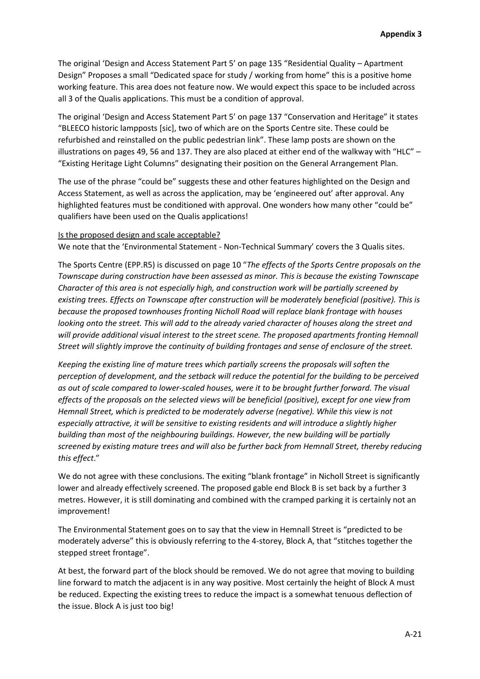The original 'Design and Access Statement Part 5' on page 135 "Residential Quality – Apartment Design" Proposes a small "Dedicated space for study / working from home" this is a positive home working feature. This area does not feature now. We would expect this space to be included across all 3 of the Qualis applications. This must be a condition of approval.

The original 'Design and Access Statement Part 5' on page 137 "Conservation and Heritage" it states "BLEECO historic lampposts [sic], two of which are on the Sports Centre site. These could be refurbished and reinstalled on the public pedestrian link". These lamp posts are shown on the illustrations on pages 49, 56 and 137. They are also placed at either end of the walkway with "HLC" – "Existing Heritage Light Columns" designating their position on the General Arrangement Plan.

The use of the phrase "could be" suggests these and other features highlighted on the Design and Access Statement, as well as across the application, may be 'engineered out' after approval. Any highlighted features must be conditioned with approval. One wonders how many other "could be" qualifiers have been used on the Qualis applications!

#### Is the proposed design and scale acceptable?

We note that the 'Environmental Statement - Non-Technical Summary' covers the 3 Qualis sites.

The Sports Centre (EPP.R5) is discussed on page 10 "*The effects of the Sports Centre proposals on the Townscape during construction have been assessed as minor. This is because the existing Townscape Character of this area is not especially high, and construction work will be partially screened by existing trees. Effects on Townscape after construction will be moderately beneficial (positive). This is because the proposed townhouses fronting Nicholl Road will replace blank frontage with houses looking onto the street. This will add to the already varied character of houses along the street and will provide additional visual interest to the street scene. The proposed apartments fronting Hemnall Street will slightly improve the continuity of building frontages and sense of enclosure of the street.*

*Keeping the existing line of mature trees which partially screens the proposals will soften the perception of development, and the setback will reduce the potential for the building to be perceived as out of scale compared to lower-scaled houses, were it to be brought further forward. The visual effects of the proposals on the selected views will be beneficial (positive), except for one view from Hemnall Street, which is predicted to be moderately adverse (negative). While this view is not especially attractive, it will be sensitive to existing residents and will introduce a slightly higher building than most of the neighbouring buildings. However, the new building will be partially screened by existing mature trees and will also be further back from Hemnall Street, thereby reducing this effect*."

We do not agree with these conclusions. The exiting "blank frontage" in Nicholl Street is significantly lower and already effectively screened. The proposed gable end Block B is set back by a further 3 metres. However, it is still dominating and combined with the cramped parking it is certainly not an improvement!

The Environmental Statement goes on to say that the view in Hemnall Street is "predicted to be moderately adverse" this is obviously referring to the 4-storey, Block A, that "stitches together the stepped street frontage".

At best, the forward part of the block should be removed. We do not agree that moving to building line forward to match the adjacent is in any way positive. Most certainly the height of Block A must be reduced. Expecting the existing trees to reduce the impact is a somewhat tenuous deflection of the issue. Block A is just too big!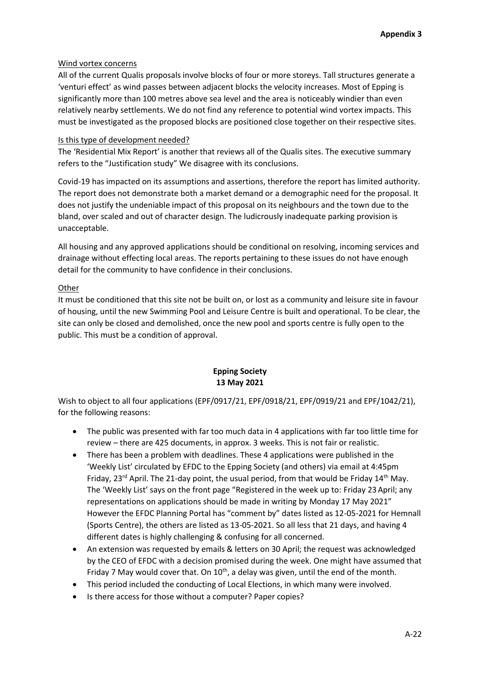## Wind vortex concerns

All of the current Qualis proposals involve blocks of four or more storeys. Tall structures generate a 'venturi effect' as wind passes between adjacent blocks the velocity increases. Most of Epping is significantly more than 100 metres above sea level and the area is noticeably windier than even relatively nearby settlements. We do not find any reference to potential wind vortex impacts. This must be investigated as the proposed blocks are positioned close together on their respective sites.

### Is this type of development needed?

The 'Residential Mix Report' is another that reviews all of the Qualis sites. The executive summary refers to the "Justification study" We disagree with its conclusions.

Covid-19 has impacted on its assumptions and assertions, therefore the report has limited authority. The report does not demonstrate both a market demand or a demographic need for the proposal. It does not justify the undeniable impact of this proposal on its neighbours and the town due to the bland, over scaled and out of character design. The ludicrously inadequate parking provision is unacceptable.

All housing and any approved applications should be conditional on resolving, incoming services and drainage without effecting local areas. The reports pertaining to these issues do not have enough detail for the community to have confidence in their conclusions.

### **Other**

It must be conditioned that this site not be built on, or lost as a community and leisure site in favour of housing, until the new Swimming Pool and Leisure Centre is built and operational. To be clear, the site can only be closed and demolished, once the new pool and sports centre is fully open to the public. This must be a condition of approval.

# **Epping Society 13 May 2021**

Wish to object to all four applications (EPF/0917/21, EPF/0918/21, EPF/0919/21 and EPF/1042/21), for the following reasons:

- The public was presented with far too much data in 4 applications with far too little time for review – there are 425 documents, in approx. 3 weeks. This is not fair or realistic.
- There has been a problem with deadlines. These 4 applications were published in the 'Weekly List' circulated by EFDC to the Epping Society (and others) via email at 4:45pm Friday,  $23^{rd}$  April. The 21-day point, the usual period, from that would be Friday  $14^{th}$  May. The 'Weekly List' says on the front page "Registered in the week up to: Friday 23 April; any representations on applications should be made in writing by Monday 17 May 2021" However the EFDC Planning Portal has "comment by" dates listed as 12-05-2021 for Hemnall (Sports Centre), the others are listed as 13-05-2021. So all less that 21 days, and having 4 different dates is highly challenging & confusing for all concerned.
- An extension was requested by emails & letters on 30 April; the request was acknowledged by the CEO of EFDC with a decision promised during the week. One might have assumed that Friday 7 May would cover that. On  $10^{th}$ , a delay was given, until the end of the month.
- This period included the conducting of Local Elections, in which many were involved.
- Is there access for those without a computer? Paper copies?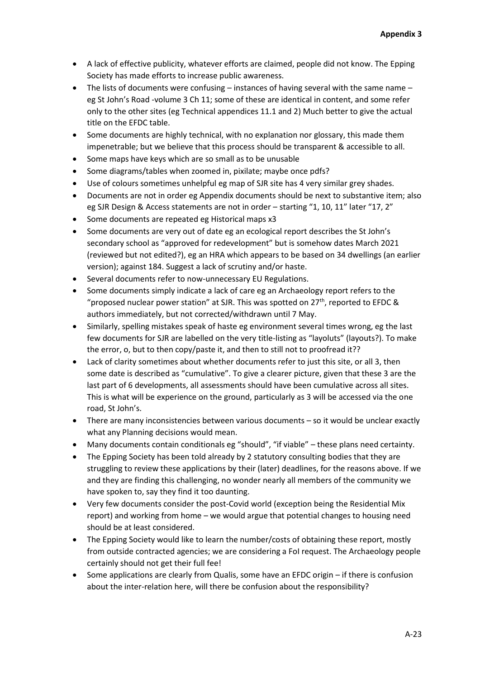- A lack of effective publicity, whatever efforts are claimed, people did not know. The Epping Society has made efforts to increase public awareness.
- $\bullet$  The lists of documents were confusing instances of having several with the same name eg St John's Road -volume 3 Ch 11; some of these are identical in content, and some refer only to the other sites (eg Technical appendices 11.1 and 2) Much better to give the actual title on the EFDC table.
- Some documents are highly technical, with no explanation nor glossary, this made them impenetrable; but we believe that this process should be transparent & accessible to all.
- Some maps have keys which are so small as to be unusable
- Some diagrams/tables when zoomed in, pixilate; maybe once pdfs?
- Use of colours sometimes unhelpful eg map of SJR site has 4 very similar grey shades.
- Documents are not in order eg Appendix documents should be next to substantive item; also eg SJR Design & Access statements are not in order – starting "1, 10, 11" later "17, 2"
- Some documents are repeated eg Historical maps x3
- Some documents are very out of date eg an ecological report describes the St John's secondary school as "approved for redevelopment" but is somehow dates March 2021 (reviewed but not edited?), eg an HRA which appears to be based on 34 dwellings (an earlier version); against 184. Suggest a lack of scrutiny and/or haste.
- Several documents refer to now-unnecessary EU Regulations.
- Some documents simply indicate a lack of care eg an Archaeology report refers to the "proposed nuclear power station" at SJR. This was spotted on  $27<sup>th</sup>$ , reported to EFDC & authors immediately, but not corrected/withdrawn until 7 May.
- Similarly, spelling mistakes speak of haste eg environment several times wrong, eg the last few documents for SJR are labelled on the very title-listing as "layoluts" (layouts?). To make the error, o, but to then copy/paste it, and then to still not to proofread it??
- Lack of clarity sometimes about whether documents refer to just this site, or all 3, then some date is described as "cumulative". To give a clearer picture, given that these 3 are the last part of 6 developments, all assessments should have been cumulative across all sites. This is what will be experience on the ground, particularly as 3 will be accessed via the one road, St John's.
- There are many inconsistencies between various documents so it would be unclear exactly what any Planning decisions would mean.
- Many documents contain conditionals eg "should", "if viable" these plans need certainty.
- The Epping Society has been told already by 2 statutory consulting bodies that they are struggling to review these applications by their (later) deadlines, for the reasons above. If we and they are finding this challenging, no wonder nearly all members of the community we have spoken to, say they find it too daunting.
- Very few documents consider the post-Covid world (exception being the Residential Mix report) and working from home – we would argue that potential changes to housing need should be at least considered.
- The Epping Society would like to learn the number/costs of obtaining these report, mostly from outside contracted agencies; we are considering a FoI request. The Archaeology people certainly should not get their full fee!
- Some applications are clearly from Qualis, some have an EFDC origin if there is confusion about the inter-relation here, will there be confusion about the responsibility?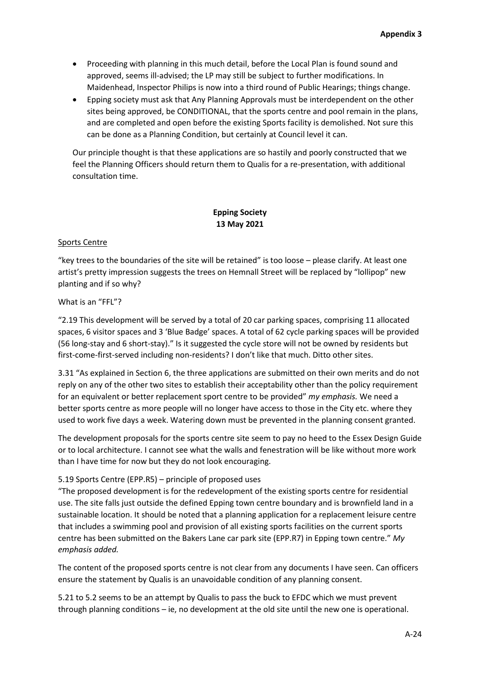- Proceeding with planning in this much detail, before the Local Plan is found sound and approved, seems ill-advised; the LP may still be subject to further modifications. In Maidenhead, Inspector Philips is now into a third round of Public Hearings; things change.
- Epping society must ask that Any Planning Approvals must be interdependent on the other sites being approved, be CONDITIONAL, that the sports centre and pool remain in the plans, and are completed and open before the existing Sports facility is demolished. Not sure this can be done as a Planning Condition, but certainly at Council level it can.

Our principle thought is that these applications are so hastily and poorly constructed that we feel the Planning Officers should return them to Qualis for a re-presentation, with additional consultation time.

## **Epping Society 13 May 2021**

#### Sports Centre

"key trees to the boundaries of the site will be retained" is too loose – please clarify. At least one artist's pretty impression suggests the trees on Hemnall Street will be replaced by "lollipop" new planting and if so why?

#### What is an "FFL"?

"2.19 This development will be served by a total of 20 car parking spaces, comprising 11 allocated spaces, 6 visitor spaces and 3 'Blue Badge' spaces. A total of 62 cycle parking spaces will be provided (56 long-stay and 6 short-stay)." Is it suggested the cycle store will not be owned by residents but first-come-first-served including non-residents? I don't like that much. Ditto other sites.

3.31 "As explained in Section 6, the three applications are submitted on their own merits and do not reply on any of the other two sites to establish their acceptability other than the policy requirement for an equivalent or better replacement sport centre to be provided" *my emphasis.* We need a better sports centre as more people will no longer have access to those in the City etc. where they used to work five days a week. Watering down must be prevented in the planning consent granted.

The development proposals for the sports centre site seem to pay no heed to the Essex Design Guide or to local architecture. I cannot see what the walls and fenestration will be like without more work than I have time for now but they do not look encouraging.

#### 5.19 Sports Centre (EPP.R5) – principle of proposed uses

"The proposed development is for the redevelopment of the existing sports centre for residential use. The site falls just outside the defined Epping town centre boundary and is brownfield land in a sustainable location. It should be noted that a planning application for a replacement leisure centre that includes a swimming pool and provision of all existing sports facilities on the current sports centre has been submitted on the Bakers Lane car park site (EPP.R7) in Epping town centre." *My emphasis added.*

The content of the proposed sports centre is not clear from any documents I have seen. Can officers ensure the statement by Qualis is an unavoidable condition of any planning consent.

5.21 to 5.2 seems to be an attempt by Qualis to pass the buck to EFDC which we must prevent through planning conditions – ie, no development at the old site until the new one is operational.